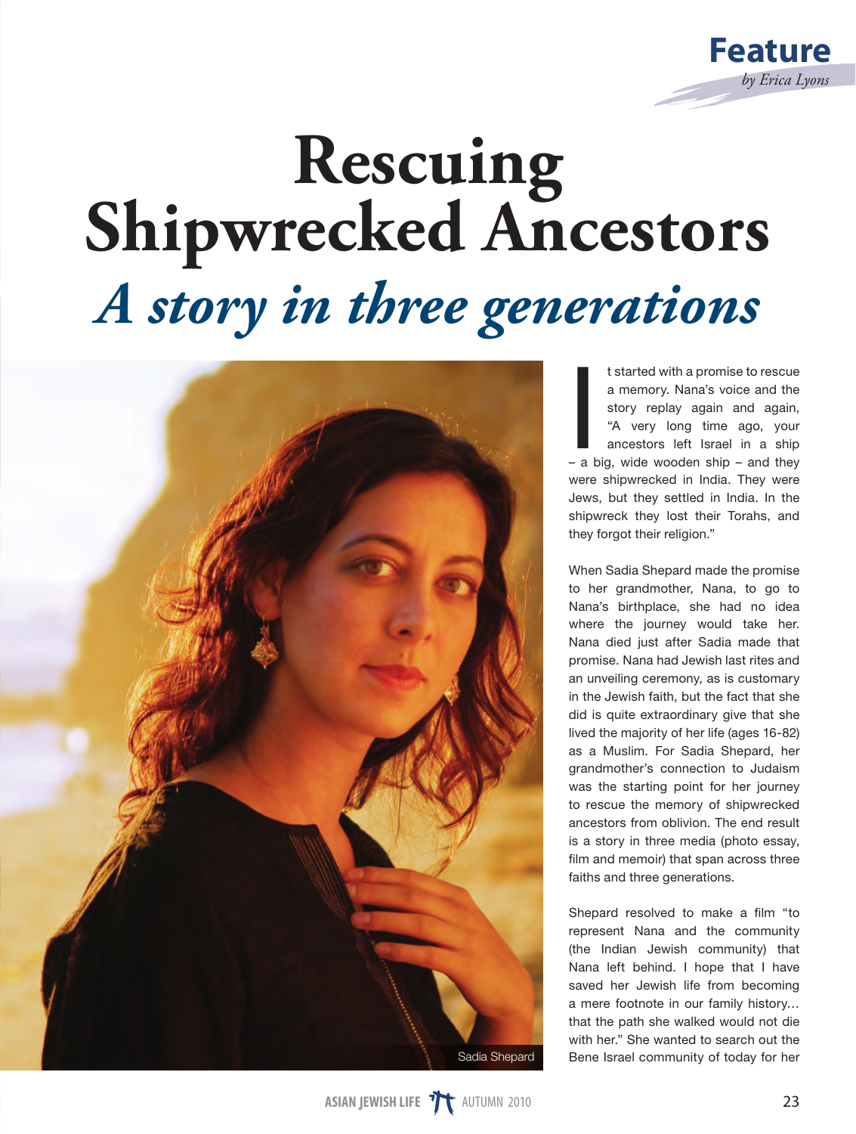

## **Rescuing<br>Shipwrecked Ancestors** *A story in three generations*



t started with a promise to rescue<br>a memory. Nana's voice and the<br>story replay again and again,<br>"A very long time ago, your<br>ancestors left Israel in a ship<br>- a big, wide wooden ship - and they t started with a promise to rescue a memory. Nana's voice and the story replay again and again. "A very long time ago, your ancestors left Israel in a ship were shipwrecked in India. They were Jews, but they settled in India. In the shipwreck they lost their Torahs, and they forgot their religion."

When Sadia Shepard made the promise to her grandmother, Nana, to go to Nana's birthplace, she had no idea where the journey would take her. Nana died just after Sadia made that promise. Nana had Jewish last rites and an unveiling ceremony, as is customary in the Jewish faith, but the fact that she did is quite extraordinary give that she lived the majority of her life (ages 16-82) as a Muslim. For Sadia Shepard, her grandmother's connection to Judaism was the starting point for her journey to rescue the memory of shipwrecked ancestors from oblivion. The end result is a story in three media (photo essay, film and memoir) that span across three faiths and three generations.

Shepard resolved to make a film "to represent Nana and the community (the Indian Jewish community) that Nana left behind. I hope that I have saved her Jewish life from becoming a mere footnote in our family history… that the path she walked would not die with her." She wanted to search out the Bene Israel community of today for her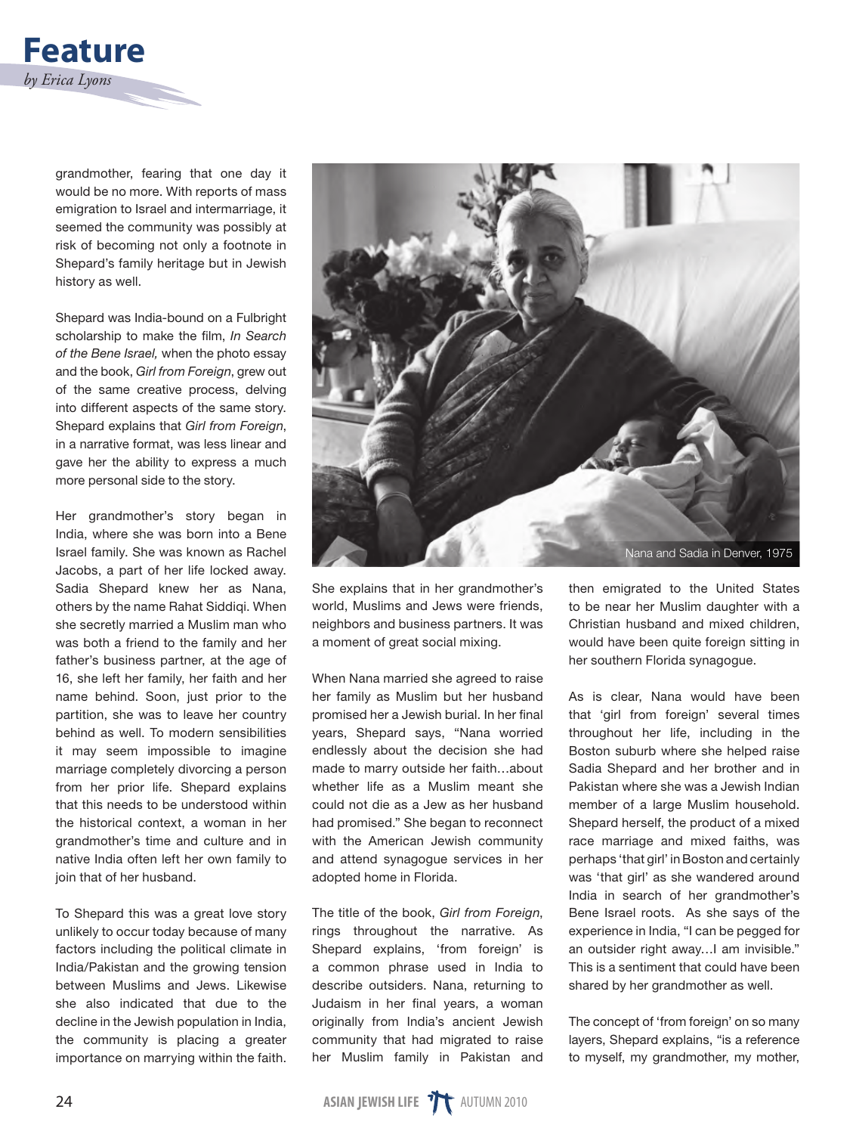

grandmother, fearing that one day it would be no more. With reports of mass emigration to Israel and intermarriage, it seemed the community was possibly at risk of becoming not only a footnote in Shepard's family heritage but in Jewish history as well.

Shepard was India-bound on a Fulbright scholarship to make the film, *In Search of the Bene Israel,* when the photo essay and the book, *Girl from Foreign*, grew out of the same creative process, delving into different aspects of the same story. Shepard explains that *Girl from Foreign*, in a narrative format, was less linear and gave her the ability to express a much more personal side to the story.

Her grandmother's story began in India, where she was born into a Bene Israel family. She was known as Rachel Jacobs, a part of her life locked away. Sadia Shepard knew her as Nana, others by the name Rahat Siddiqi. When she secretly married a Muslim man who was both a friend to the family and her father's business partner, at the age of 16, she left her family, her faith and her name behind. Soon, just prior to the partition, she was to leave her country behind as well. To modern sensibilities it may seem impossible to imagine marriage completely divorcing a person from her prior life. Shepard explains that this needs to be understood within the historical context, a woman in her grandmother's time and culture and in native India often left her own family to join that of her husband.

To Shepard this was a great love story unlikely to occur today because of many factors including the political climate in India/Pakistan and the growing tension between Muslims and Jews. Likewise she also indicated that due to the decline in the Jewish population in India, the community is placing a greater importance on marrying within the faith.



She explains that in her grandmother's world, Muslims and Jews were friends, neighbors and business partners. It was a moment of great social mixing.

When Nana married she agreed to raise her family as Muslim but her husband promised her a Jewish burial. In her final years, Shepard says, "Nana worried endlessly about the decision she had made to marry outside her faith…about whether life as a Muslim meant she could not die as a Jew as her husband had promised." She began to reconnect with the American Jewish community and attend synagogue services in her adopted home in Florida.

The title of the book, *Girl from Foreign*, rings throughout the narrative. As Shepard explains, 'from foreign' is a common phrase used in India to describe outsiders. Nana, returning to Judaism in her final years, a woman originally from India's ancient Jewish community that had migrated to raise her Muslim family in Pakistan and

then emigrated to the United States to be near her Muslim daughter with a Christian husband and mixed children, would have been quite foreign sitting in her southern Florida synagogue.

As is clear, Nana would have been that 'girl from foreign' several times throughout her life, including in the Boston suburb where she helped raise Sadia Shepard and her brother and in Pakistan where she was a Jewish Indian member of a large Muslim household. Shepard herself, the product of a mixed race marriage and mixed faiths, was perhaps 'that girl' in Boston and certainly was 'that girl' as she wandered around India in search of her grandmother's Bene Israel roots. As she says of the experience in India, "I can be pegged for an outsider right away…I am invisible." This is a sentiment that could have been shared by her grandmother as well.

The concept of 'from foreign' on so many layers, Shepard explains, "is a reference to myself, my grandmother, my mother,

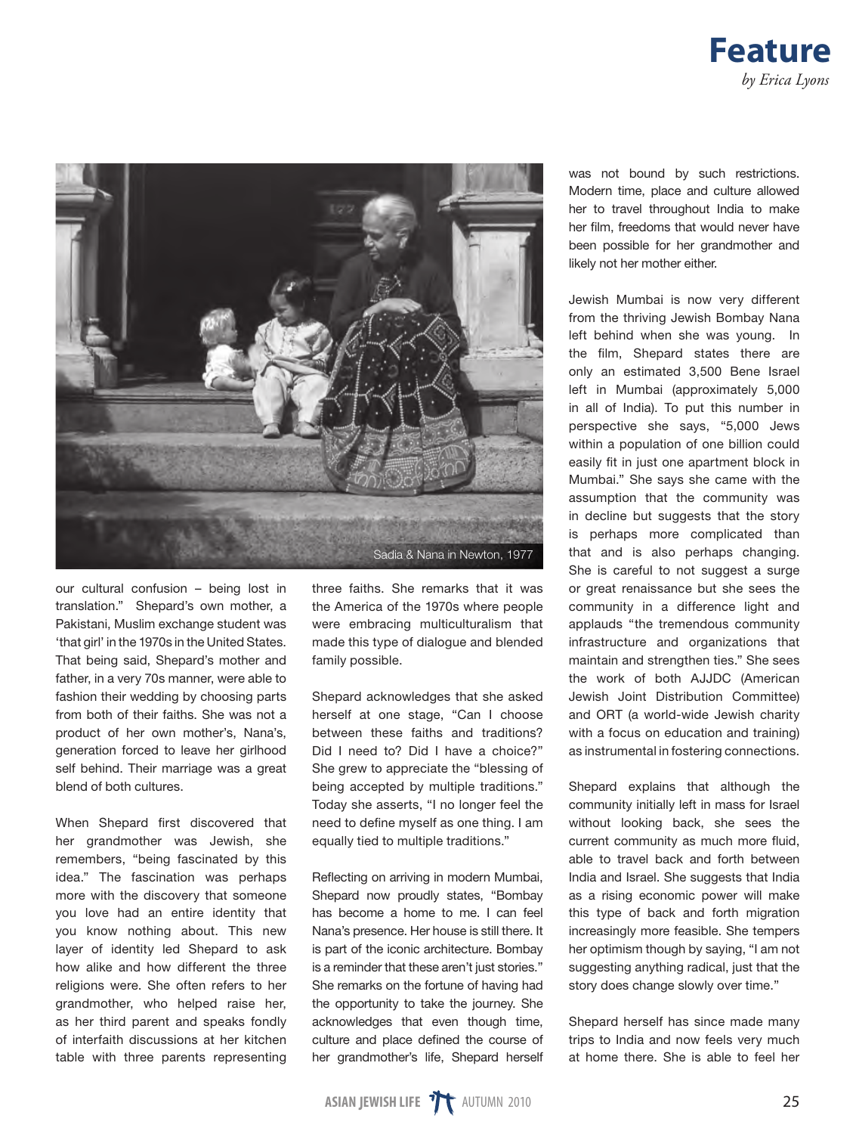



our cultural confusion – being lost in translation." Shepard's own mother, a Pakistani, Muslim exchange student was 'that girl' in the 1970s in the United States. That being said, Shepard's mother and father, in a very 70s manner, were able to fashion their wedding by choosing parts from both of their faiths. She was not a product of her own mother's, Nana's, generation forced to leave her girlhood self behind. Their marriage was a great blend of both cultures.

When Shepard first discovered that her grandmother was Jewish, she remembers, "being fascinated by this idea." The fascination was perhaps more with the discovery that someone you love had an entire identity that you know nothing about. This new layer of identity led Shepard to ask how alike and how different the three religions were. She often refers to her grandmother, who helped raise her, as her third parent and speaks fondly of interfaith discussions at her kitchen table with three parents representing three faiths. She remarks that it was the America of the 1970s where people were embracing multiculturalism that made this type of dialogue and blended family possible.

Shepard acknowledges that she asked herself at one stage, "Can I choose between these faiths and traditions? Did I need to? Did I have a choice?" She grew to appreciate the "blessing of being accepted by multiple traditions." Today she asserts, "I no longer feel the need to define myself as one thing. I am equally tied to multiple traditions."

Reflecting on arriving in modern Mumbai, Shepard now proudly states, "Bombay has become a home to me. I can feel Nana's presence. Her house is still there. It is part of the iconic architecture. Bombay is a reminder that these aren't just stories." She remarks on the fortune of having had the opportunity to take the journey. She acknowledges that even though time, culture and place defined the course of her grandmother's life, Shepard herself

was not bound by such restrictions. Modern time, place and culture allowed her to travel throughout India to make her film, freedoms that would never have been possible for her grandmother and likely not her mother either.

Jewish Mumbai is now very different from the thriving Jewish Bombay Nana left behind when she was young. In the film, Shepard states there are only an estimated 3,500 Bene Israel left in Mumbai (approximately 5,000 in all of India). To put this number in perspective she says, "5,000 Jews within a population of one billion could easily fit in just one apartment block in Mumbai." She says she came with the assumption that the community was in decline but suggests that the story is perhaps more complicated than that and is also perhaps changing. She is careful to not suggest a surge or great renaissance but she sees the community in a difference light and applauds "the tremendous community infrastructure and organizations that maintain and strengthen ties." She sees the work of both AJJDC (American Jewish Joint Distribution Committee) and ORT (a world-wide Jewish charity with a focus on education and training) as instrumental in fostering connections.

Shepard explains that although the community initially left in mass for Israel without looking back, she sees the current community as much more fluid, able to travel back and forth between India and Israel. She suggests that India as a rising economic power will make this type of back and forth migration increasingly more feasible. She tempers her optimism though by saying, "I am not suggesting anything radical, just that the story does change slowly over time."

Shepard herself has since made many trips to India and now feels very much at home there. She is able to feel her